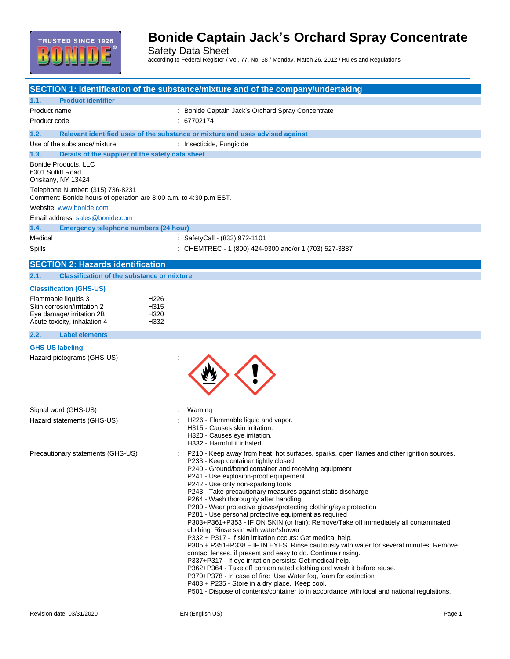

Safety Data Sheet according to Federal Register / Vol. 77, No. 58 / Monday, March 26, 2012 / Rules and Regulations

|                                                                                                       | SECTION 1: Identification of the substance/mixture and of the company/undertaking                                                            |
|-------------------------------------------------------------------------------------------------------|----------------------------------------------------------------------------------------------------------------------------------------------|
| 1.1.<br><b>Product identifier</b>                                                                     |                                                                                                                                              |
| Product name                                                                                          | : Bonide Captain Jack's Orchard Spray Concentrate                                                                                            |
| Product code                                                                                          | : 67702174                                                                                                                                   |
| 1.2.                                                                                                  | Relevant identified uses of the substance or mixture and uses advised against                                                                |
| Use of the substance/mixture                                                                          | : Insecticide, Fungicide                                                                                                                     |
| 1.3.<br>Details of the supplier of the safety data sheet                                              |                                                                                                                                              |
| Bonide Products, LLC<br>6301 Sutliff Road<br>Oriskany, NY 13424                                       |                                                                                                                                              |
| Telephone Number: (315) 736-8231<br>Comment: Bonide hours of operation are 8:00 a.m. to 4:30 p.m EST. |                                                                                                                                              |
| Website: www.bonide.com                                                                               |                                                                                                                                              |
| Email address: sales@bonide.com                                                                       |                                                                                                                                              |
| 1.4.<br>Emergency telephone numbers (24 hour)                                                         |                                                                                                                                              |
| Medical                                                                                               | : SafetyCall - (833) 972-1101                                                                                                                |
| Spills                                                                                                | : CHEMTREC - 1 (800) 424-9300 and/or 1 (703) 527-3887                                                                                        |
|                                                                                                       |                                                                                                                                              |
| <b>SECTION 2: Hazards identification</b>                                                              |                                                                                                                                              |
| <b>Classification of the substance or mixture</b><br>2.1.                                             |                                                                                                                                              |
| <b>Classification (GHS-US)</b>                                                                        |                                                                                                                                              |
| Flammable liquids 3<br>H <sub>226</sub>                                                               |                                                                                                                                              |
| Skin corrosion/irritation 2<br>H315                                                                   |                                                                                                                                              |
| Eye damage/ irritation 2B<br>H320<br>Acute toxicity, inhalation 4<br>H332                             |                                                                                                                                              |
| <b>Label elements</b><br>2.2.                                                                         |                                                                                                                                              |
|                                                                                                       |                                                                                                                                              |
| <b>GHS-US labeling</b>                                                                                |                                                                                                                                              |
| Hazard pictograms (GHS-US)                                                                            |                                                                                                                                              |
| Signal word (GHS-US)                                                                                  | Warning                                                                                                                                      |
| Hazard statements (GHS-US)                                                                            | H226 - Flammable liquid and vapor.                                                                                                           |
|                                                                                                       | H315 - Causes skin irritation.                                                                                                               |
|                                                                                                       | H320 - Causes eye irritation.                                                                                                                |
|                                                                                                       | H332 - Harmful if inhaled                                                                                                                    |
| Precautionary statements (GHS-US)                                                                     | P210 - Keep away from heat, hot surfaces, sparks, open flames and other ignition sources.<br>P233 - Keep container tightly closed            |
|                                                                                                       | P240 - Ground/bond container and receiving equipment                                                                                         |
|                                                                                                       | P241 - Use explosion-proof equipement.                                                                                                       |
|                                                                                                       | P242 - Use only non-sparking tools<br>P243 - Take precautionary measures against static discharge                                            |
|                                                                                                       | P264 - Wash thoroughly after handling                                                                                                        |
|                                                                                                       | P280 - Wear protective gloves/protecting clothing/eye protection                                                                             |
|                                                                                                       | P281 - Use personal protective equipment as required<br>P303+P361+P353 - IF ON SKIN (or hair): Remove/Take off immediately all contaminated  |
|                                                                                                       | clothing. Rinse skin with water/shower                                                                                                       |
|                                                                                                       | P332 + P317 - If skin irritation occurs: Get medical help.                                                                                   |
|                                                                                                       | P305 + P351+P338 - IF IN EYES: Rinse cautiously with water for several minutes. Remove                                                       |
|                                                                                                       | contact lenses, if present and easy to do. Continue rinsing.<br>P337+P317 - If eye irritation persists: Get medical help.                    |
|                                                                                                       | P362+P364 - Take off contaminated clothing and wash it before reuse.                                                                         |
|                                                                                                       | P370+P378 - In case of fire: Use Water fog, foam for extinction                                                                              |
|                                                                                                       | P403 + P235 - Store in a dry place. Keep cool.<br>P501 - Dispose of contents/container to in accordance with local and national regulations. |
|                                                                                                       |                                                                                                                                              |
| Revision date: 03/31/2020                                                                             | EN (English US)<br>Page 1                                                                                                                    |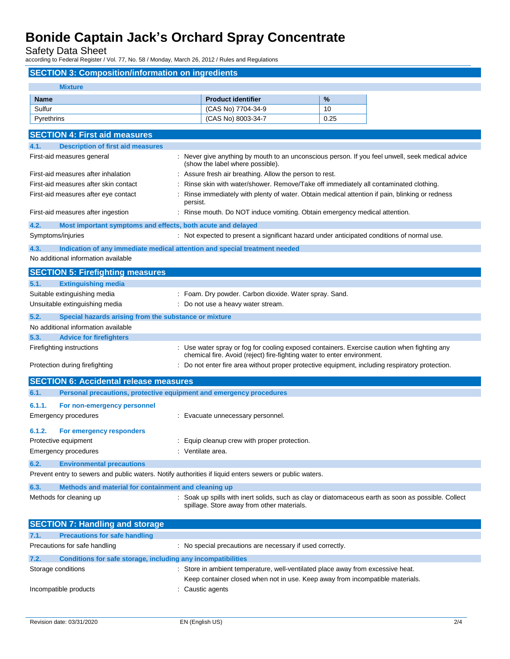Safety Data Sheet

according to Federal Register / Vol. 77, No. 58 / Monday, March 26, 2012 / Rules and Regulations

## **SECTION 3: Composition/information on ingredients Mixture Name Report is a set of the set of the set of the Product identifier <b>by the set of the set of the set of the set of the set of the set of the set of the set of the set of the set of the set of the set of the set of the** Sulfur (CAS No) 7704-34-9 10 Pyrethrins 0.25 **SECTION 4: First aid measures 4.1. Description of first aid measures** First-aid measures general example and the ver give anything by mouth to an unconscious person. If you feel unwell, seek medical advice (show the label where possible). First-aid measures after inhalation : Assure fresh air breathing. Allow the person to rest. First-aid measures after skin contact : Rinse skin with water/shower. Remove/Take off immediately all contaminated clothing. First-aid measures after eye contact : Rinse immediately with plenty of water. Obtain medical attention if pain, blinking or redness persist. First-aid measures after ingestion : Rinse mouth. Do NOT induce vomiting. Obtain emergency medical attention. **4.2. Most important symptoms and effects, both acute and delayed** Symptoms/injuries **interval of the symptoms** of normal use. Not expected to present a significant hazard under anticipated conditions of normal use. **4.3. Indication of any immediate medical attention and special treatment needed** No additional information available

|        | <b>SECTION 5: Firefighting measures</b>                             |                                                                                                                                                                        |
|--------|---------------------------------------------------------------------|------------------------------------------------------------------------------------------------------------------------------------------------------------------------|
| 5.1.   | <b>Extinguishing media</b>                                          |                                                                                                                                                                        |
|        | Suitable extinguishing media                                        | : Foam. Dry powder. Carbon dioxide. Water spray. Sand.                                                                                                                 |
|        | Unsuitable extinguishing media                                      | : Do not use a heavy water stream.                                                                                                                                     |
| 5.2.   | Special hazards arising from the substance or mixture               |                                                                                                                                                                        |
|        | No additional information available                                 |                                                                                                                                                                        |
| 5.3.   | <b>Advice for firefighters</b>                                      |                                                                                                                                                                        |
|        | Firefighting instructions                                           | : Use water spray or fog for cooling exposed containers. Exercise caution when fighting any<br>chemical fire. Avoid (reject) fire-fighting water to enter environment. |
|        | Protection during firefighting                                      | : Do not enter fire area without proper protective equipment, including respiratory protection.                                                                        |
|        | <b>SECTION 6: Accidental release measures</b>                       |                                                                                                                                                                        |
| 6.1.   | Personal precautions, protective equipment and emergency procedures |                                                                                                                                                                        |
| 6.1.1. | For non-emergency personnel                                         |                                                                                                                                                                        |
|        | Emergency procedures                                                | : Evacuate unnecessary personnel.                                                                                                                                      |
| 6.1.2. | For emergency responders                                            |                                                                                                                                                                        |
|        | Protective equipment                                                | : Equip cleanup crew with proper protection.                                                                                                                           |
|        | Emergency procedures                                                | : Ventilate area.                                                                                                                                                      |
| 6.2.   | <b>Environmental precautions</b>                                    |                                                                                                                                                                        |
|        |                                                                     | Prevent entry to sewers and public waters. Notify authorities if liquid enters sewers or public waters.                                                                |
| 6.3.   | Methods and material for containment and cleaning up                |                                                                                                                                                                        |

Methods for cleaning up **interpret on the Soak up spills with inert solids**, such as clay or diatomaceous earth as soon as possible. Collect spillage. Store away from other materials.

| <b>SECTION 7: Handling and storage</b> |                                                              |                                                                                                                                                                  |  |  |
|----------------------------------------|--------------------------------------------------------------|------------------------------------------------------------------------------------------------------------------------------------------------------------------|--|--|
| 7.1.                                   | <b>Precautions for safe handling</b>                         |                                                                                                                                                                  |  |  |
|                                        | Precautions for safe handling                                | : No special precautions are necessary if used correctly.                                                                                                        |  |  |
| 7.2.                                   | Conditions for safe storage, including any incompatibilities |                                                                                                                                                                  |  |  |
|                                        | Storage conditions                                           | : Store in ambient temperature, well-ventilated place away from excessive heat.<br>Keep container closed when not in use. Keep away from incompatible materials. |  |  |
|                                        | Incompatible products                                        | : Caustic agents                                                                                                                                                 |  |  |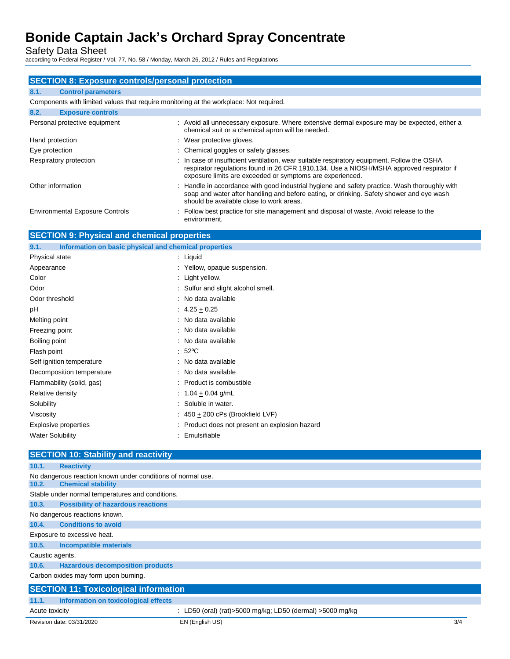Safety Data Sheet

according to Federal Register / Vol. 77, No. 58 / Monday, March 26, 2012 / Rules and Regulations

| <b>SECTION 8: Exposure controls/personal protection</b>                                |                                                                                                                                                                                                                                                      |  |  |
|----------------------------------------------------------------------------------------|------------------------------------------------------------------------------------------------------------------------------------------------------------------------------------------------------------------------------------------------------|--|--|
| 8.1.<br><b>Control parameters</b>                                                      |                                                                                                                                                                                                                                                      |  |  |
| Components with limited values that require monitoring at the workplace: Not required. |                                                                                                                                                                                                                                                      |  |  |
| 8.2.<br><b>Exposure controls</b>                                                       |                                                                                                                                                                                                                                                      |  |  |
| Personal protective equipment                                                          | : Avoid all unnecessary exposure. Where extensive dermal exposure may be expected, either a<br>chemical suit or a chemical apron will be needed.                                                                                                     |  |  |
| Hand protection                                                                        | : Wear protective gloves.                                                                                                                                                                                                                            |  |  |
| Eye protection                                                                         | : Chemical goggles or safety glasses.                                                                                                                                                                                                                |  |  |
| Respiratory protection                                                                 | : In case of insufficient ventilation, wear suitable respiratory equipment. Follow the OSHA<br>respirator regulations found in 26 CFR 1910.134. Use a NIOSH/MSHA approved respirator if<br>exposure limits are exceeded or symptoms are experienced. |  |  |
| Other information                                                                      | : Handle in accordance with good industrial hygiene and safety practice. Wash thoroughly with<br>soap and water after handling and before eating, or drinking. Safety shower and eye wash<br>should be available close to work areas.                |  |  |
| <b>Environmental Exposure Controls</b>                                                 | : Follow best practice for site management and disposal of waste. Avoid release to the<br>environment.                                                                                                                                               |  |  |
| <b>SECTION 9: Physical and chemical properties</b>                                     |                                                                                                                                                                                                                                                      |  |  |
| Information on basic physical and chemical properties<br>9.1.                          |                                                                                                                                                                                                                                                      |  |  |
| <b>Physical state</b>                                                                  | : Liquid                                                                                                                                                                                                                                             |  |  |
| Appearance                                                                             | : Yellow, opaque suspension.                                                                                                                                                                                                                         |  |  |
| Color                                                                                  | : Light yellow.                                                                                                                                                                                                                                      |  |  |
| Odor                                                                                   | : Sulfur and slight alcohol smell.                                                                                                                                                                                                                   |  |  |
| Odor threshold                                                                         | : No data available                                                                                                                                                                                                                                  |  |  |
| pH                                                                                     | $: 4.25 + 0.25$                                                                                                                                                                                                                                      |  |  |
|                                                                                        |                                                                                                                                                                                                                                                      |  |  |

| Melting point | : No data available |
|---------------|---------------------|
|               |                     |

| Freezing point | : No data available |
|----------------|---------------------|
|----------------|---------------------|

| Boiling point | : No data available |
|---------------|---------------------|
|               |                     |

Flash point : 52°C

Self ignition temperature **interest and the Contract Contract Contract Contract Contract Contract Contract Contract Contract Contract Contract Contract Contract Contract Contract Contract Contract Contract Contract Contrac** 

| Decomposition temperature |  |  |  |  | : No data available |  |  |
|---------------------------|--|--|--|--|---------------------|--|--|
|                           |  |  |  |  |                     |  |  |

| Flammability (solid, gas) | Product is combustible |
|---------------------------|------------------------|
|                           |                        |

- Relative density  $\frac{1.04 \pm 0.04 \text{ g/mL}}{1.04 \pm 0.04 \text{ g/mL}}$ Solubility : Soluble in water.
- Viscosity  $\cdot$  450  $\pm$  200 cPs (Brookfield LVF)
- Explosive properties **Explosive properties** : Product does not present an explosion hazard
- Water Solubility **Water Solubility : Emulsifiable**

### **SECTION 10: Stability and reactivity 10.1. Reactivity**

|                 | No dangerous reaction known under conditions of normal use. |                                                           |  |
|-----------------|-------------------------------------------------------------|-----------------------------------------------------------|--|
| 10.2.           | <b>Chemical stability</b>                                   |                                                           |  |
|                 | Stable under normal temperatures and conditions.            |                                                           |  |
| 10.3.           | <b>Possibility of hazardous reactions</b>                   |                                                           |  |
|                 | No dangerous reactions known.                               |                                                           |  |
| 10.4.           | <b>Conditions to avoid</b>                                  |                                                           |  |
|                 | Exposure to excessive heat.                                 |                                                           |  |
| 10.5.           | <b>Incompatible materials</b>                               |                                                           |  |
| Caustic agents. |                                                             |                                                           |  |
| 10.6.           | <b>Hazardous decomposition products</b>                     |                                                           |  |
|                 | Carbon oxides may form upon burning.                        |                                                           |  |
|                 | <b>SECTION 11: Toxicological information</b>                |                                                           |  |
| 11.1.           | Information on toxicological effects                        |                                                           |  |
| Acute toxicity  |                                                             | : LD50 (oral) (rat)>5000 mg/kg; LD50 (dermal) >5000 mg/kg |  |